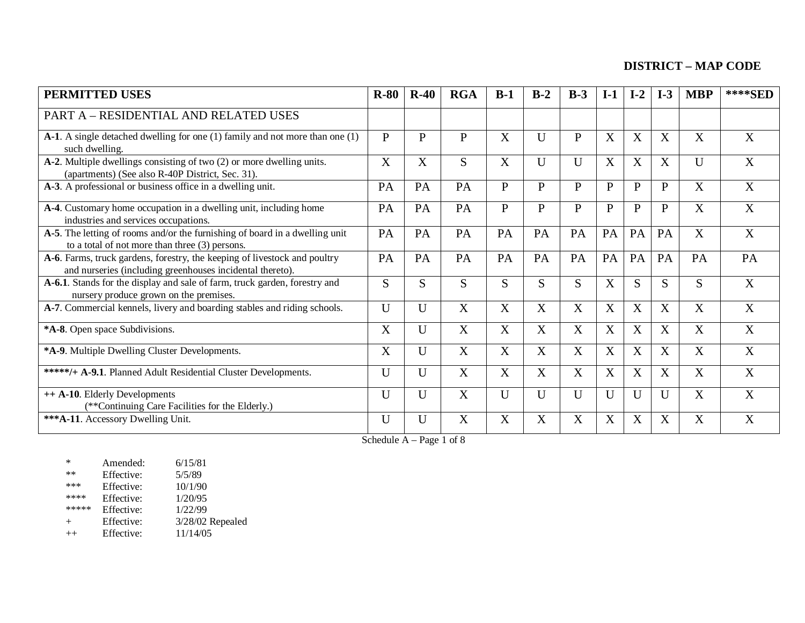| <b>PERMITTED USES</b>                                                                                                                  | $R-80$       | $R-40$ | <b>RGA</b>   | $B-1$                     | $B-2$            | $B-3$            | $I-1$        | $I-2$        | $I-3$        | <b>MBP</b> | ****SED |
|----------------------------------------------------------------------------------------------------------------------------------------|--------------|--------|--------------|---------------------------|------------------|------------------|--------------|--------------|--------------|------------|---------|
| PART A - RESIDENTIAL AND RELATED USES                                                                                                  |              |        |              |                           |                  |                  |              |              |              |            |         |
| A-1. A single detached dwelling for one (1) family and not more than one (1)<br>such dwelling.                                         | P            | P      | $\mathbf{P}$ | X                         | $\mathbf U$      | $\mathbf{P}$     | X            | X            | X            | X          | X       |
| A-2. Multiple dwellings consisting of two (2) or more dwelling units.<br>(apartments) (See also R-40P District, Sec. 31).              | X            | X      | S            | $\boldsymbol{\mathrm{X}}$ | U                | $\mathbf U$      | X            | X            | X            | U          | X       |
| A-3. A professional or business office in a dwelling unit.                                                                             | PA           | PA     | PA           | $\mathbf{P}$              | $\mathbf{P}$     | ${\bf P}$        | $\mathbf{P}$ | $\mathbf{P}$ | $\mathbf{P}$ | X          | X       |
| A-4. Customary home occupation in a dwelling unit, including home<br>industries and services occupations.                              | PA           | PA     | PA           | $\mathbf{P}$              | $\mathbf{P}$     | $\mathbf{P}$     | $\mathbf{P}$ | P            | $\mathbf{P}$ | X          | X       |
| A-5. The letting of rooms and/or the furnishing of board in a dwelling unit<br>to a total of not more than three (3) persons.          | PA           | PA     | PA           | PA                        | PA               | PA               | PA           | PA           | PA           | X          | X       |
| A-6. Farms, truck gardens, forestry, the keeping of livestock and poultry<br>and nurseries (including greenhouses incidental thereto). | PA           | PA     | PA           | PA                        | PA               | PA               | PA           | PA           | PA           | PA         | PA      |
| A-6.1. Stands for the display and sale of farm, truck garden, forestry and<br>nursery produce grown on the premises.                   | S            | S      | S            | S                         | S                | S                | X            | S            | S            | S          | X       |
| A-7. Commercial kennels, livery and boarding stables and riding schools.                                                               | U            | U      | X            | $\boldsymbol{X}$          | $\boldsymbol{X}$ | $\boldsymbol{X}$ | X            | X            | X            | X          | X       |
| *A-8. Open space Subdivisions.                                                                                                         | X            | U      | X            | X                         | X                | X                | X            | X            | X            | X          | X       |
| *A-9. Multiple Dwelling Cluster Developments.                                                                                          | X            | U      | X            | X                         | X                | X                | X            | X            | X            | X          | X       |
| *****/+ A-9.1. Planned Adult Residential Cluster Developments.                                                                         | U            | U      | X            | X                         | X                | X                | X            | X            | X            | X          | X       |
| ++ A-10. Elderly Developments<br>(**Continuing Care Facilities for the Elderly.)                                                       | $\mathbf{U}$ | U      | X            | U                         | U                | $\mathbf{U}$     | $\mathbf U$  | $\mathbf{U}$ | $\mathbf U$  | X          | X       |
| *** A-11. Accessory Dwelling Unit.                                                                                                     | U            | U      | X            | X                         | $\boldsymbol{X}$ | X                | X            | X            | X            | X          | X       |

Schedule A – Page 1 of 8

| $\ast$  | Amended:   | 6/15/81          |
|---------|------------|------------------|
| $**$    | Effective: | 5/5/89           |
| ***     | Effective: | 10/1/90          |
| ****    | Effective: | 1/20/95          |
| *****   | Effective: | 1/22/99          |
| $^{+}$  | Effective: | 3/28/02 Repealed |
| $^{++}$ | Effective: | 11/14/05         |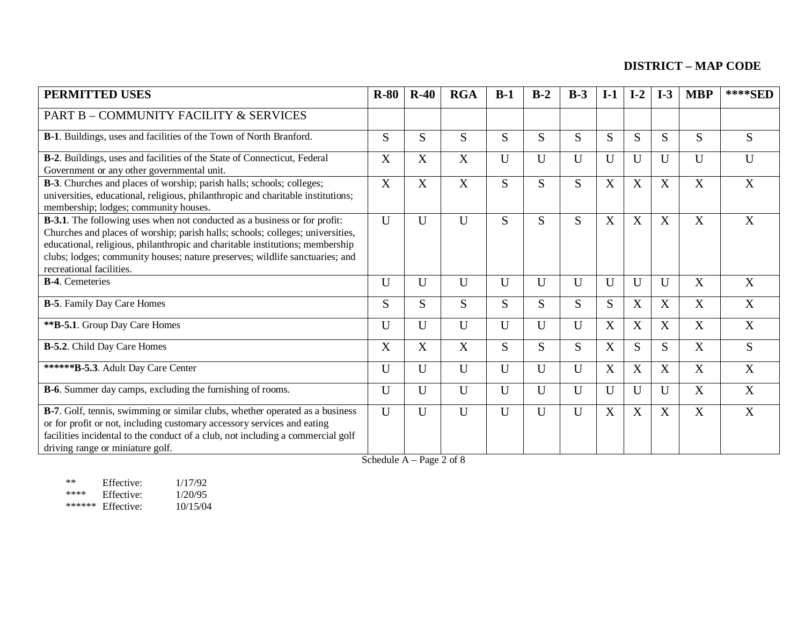| <b>PERMITTED USES</b>                                                                                                                                                                                                                                                                                                                                            | $R-80$ | $R-40$       | <b>RGA</b>     | $B-1$ | $B-2$       | $B-3$        | $I-1$ | $I-2$ | $I-3$        | <b>MBP</b>     | ****SED        |
|------------------------------------------------------------------------------------------------------------------------------------------------------------------------------------------------------------------------------------------------------------------------------------------------------------------------------------------------------------------|--------|--------------|----------------|-------|-------------|--------------|-------|-------|--------------|----------------|----------------|
| PART B - COMMUNITY FACILITY & SERVICES                                                                                                                                                                                                                                                                                                                           |        |              |                |       |             |              |       |       |              |                |                |
| B-1. Buildings, uses and facilities of the Town of North Branford.                                                                                                                                                                                                                                                                                               | S      | S            | S              | S     | S           | S            | S     | S     | S            | S              | S              |
| B-2. Buildings, uses and facilities of the State of Connecticut, Federal<br>Government or any other governmental unit.                                                                                                                                                                                                                                           | X      | X            | X              | U     | $\mathbf U$ | $\mathbf{U}$ | U     | U     | $\mathbf U$  | U              | U              |
| B-3. Churches and places of worship; parish halls; schools; colleges;<br>universities, educational, religious, philanthropic and charitable institutions;<br>membership; lodges; community houses.                                                                                                                                                               | X      | X            | X              | S     | S           | S            | X     | X     | X            | X              | X              |
| <b>B-3.1</b> . The following uses when not conducted as a business or for profit:<br>Churches and places of worship; parish halls; schools; colleges; universities,<br>educational, religious, philanthropic and charitable institutions; membership<br>clubs; lodges; community houses; nature preserves; wildlife sanctuaries; and<br>recreational facilities. | U      | U            | $\mathbf{U}$   | S     | S           | S            | X     | X     | X            | X              | X              |
| <b>B-4.</b> Cemeteries                                                                                                                                                                                                                                                                                                                                           | U      | U            | U              | U     | $\mathbf U$ | $\mathbf{U}$ | U     | U     | $\mathbf U$  | X              | X              |
| <b>B-5</b> . Family Day Care Homes                                                                                                                                                                                                                                                                                                                               | S.     | S            | S              | S     | S           | S            | S     | X     | X            | X              | X              |
| **B-5.1. Group Day Care Homes                                                                                                                                                                                                                                                                                                                                    | U      | U            | U              | U     | $\mathbf U$ | $\mathbf{U}$ | X     | X     | X            | X              | $\overline{X}$ |
| <b>B-5.2</b> . Child Day Care Homes                                                                                                                                                                                                                                                                                                                              | X      | X            | X              | S     | S           | S            | X     | S     | S            | X              | S              |
| ******B-5.3. Adult Day Care Center                                                                                                                                                                                                                                                                                                                               | U      | $\mathbf U$  | $\mathbf{U}$   | U     | $\mathbf U$ | $\mathbf{U}$ | X     | X     | X            | X              | X              |
| <b>B-6</b> . Summer day camps, excluding the furnishing of rooms.                                                                                                                                                                                                                                                                                                | U      | $\mathbf U$  | $\mathbf{U}$   | U     | $\mathbf U$ | $\mathbf{U}$ | U     | U     | $\mathbf{U}$ | X              | X              |
| B-7. Golf, tennis, swimming or similar clubs, whether operated as a business<br>or for profit or not, including customary accessory services and eating<br>facilities incidental to the conduct of a club, not including a commercial golf<br>driving range or miniature golf.                                                                                   | U      | $\mathbf{U}$ | $\overline{U}$ | U     | U           | $\mathbf{U}$ | X     | X     | X            | $\overline{X}$ | X              |

Schedule  $A - Page\ 2 of\ 8$ 

\*\* Effective:  $\frac{1}{17/92}$ <br>\*\*\*\* Effective:  $\frac{1}{20/95}$ <br>\*\*\*\*\*\* Effective:  $\frac{1}{20/15/04}$ Effective: \*\*\*\*\*\* Effective: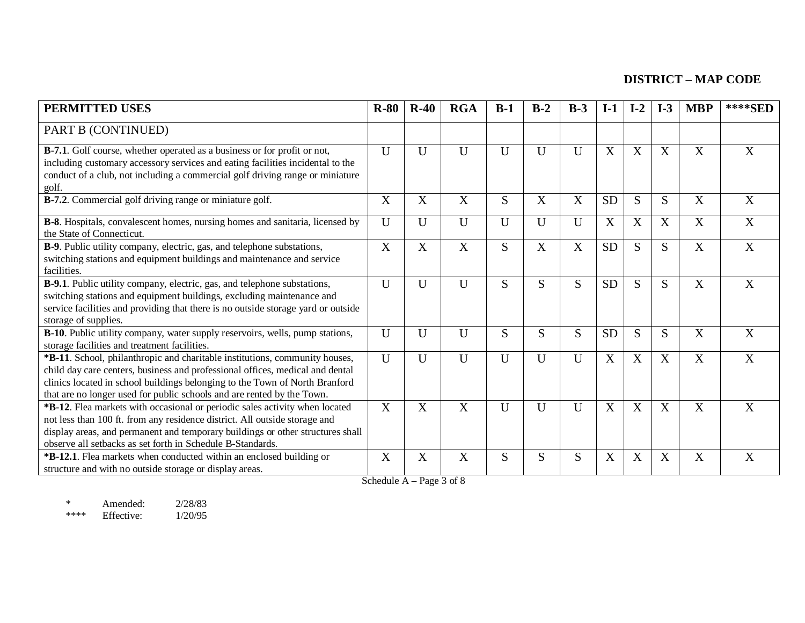| <b>PERMITTED USES</b>                                                                                                                                                                                                                                                                                                 | $R-80$         | $R-40$       | <b>RGA</b>   | $B-1$        | $B-2$       | $B-3$                     | $I-1$     | $I-2$       | $I-3$                     | <b>MBP</b>            | ****SED                   |
|-----------------------------------------------------------------------------------------------------------------------------------------------------------------------------------------------------------------------------------------------------------------------------------------------------------------------|----------------|--------------|--------------|--------------|-------------|---------------------------|-----------|-------------|---------------------------|-----------------------|---------------------------|
| PART B (CONTINUED)                                                                                                                                                                                                                                                                                                    |                |              |              |              |             |                           |           |             |                           |                       |                           |
| <b>B-7.1</b> . Golf course, whether operated as a business or for profit or not,<br>including customary accessory services and eating facilities incidental to the<br>conduct of a club, not including a commercial golf driving range or miniature<br>golf.                                                          | $\mathbf{U}$   | U            | $\mathbf{U}$ | U            | $\mathbf U$ | $\mathbf{U}$              | X         | X           | X                         | X                     | X                         |
| <b>B-7.2.</b> Commercial golf driving range or miniature golf.                                                                                                                                                                                                                                                        | X              | X            | X            | S            | X           | X                         | <b>SD</b> | S           | S                         | X                     | X                         |
| B-8. Hospitals, convalescent homes, nursing homes and sanitaria, licensed by<br>the State of Connecticut.                                                                                                                                                                                                             | U              | U            | U            | U            | $\mathbf U$ | U                         | X         | X           | $\boldsymbol{\mathrm{X}}$ | X                     | X                         |
| B-9. Public utility company, electric, gas, and telephone substations,<br>switching stations and equipment buildings and maintenance and service<br>facilities.                                                                                                                                                       | X              | X            | X            | S            | X           | $\boldsymbol{\mathrm{X}}$ | <b>SD</b> | S           | S                         | $\overline{X}$        | X                         |
| B-9.1. Public utility company, electric, gas, and telephone substations,<br>switching stations and equipment buildings, excluding maintenance and<br>service facilities and providing that there is no outside storage yard or outside<br>storage of supplies.                                                        | U              | $\mathbf U$  | U            | S            | S           | S                         | <b>SD</b> | S           | S                         | X                     | X                         |
| B-10. Public utility company, water supply reservoirs, wells, pump stations,<br>storage facilities and treatment facilities.                                                                                                                                                                                          | U              | U            | $\mathbf{U}$ | S            | S           | S                         | <b>SD</b> | S           | S                         | $\overline{\text{X}}$ | X                         |
| *B-11. School, philanthropic and charitable institutions, community houses,<br>child day care centers, business and professional offices, medical and dental<br>clinics located in school buildings belonging to the Town of North Branford<br>that are no longer used for public schools and are rented by the Town. | $\overline{U}$ | $\mathbf{U}$ | U            | U            | $\mathbf U$ | $\mathbf{U}$              | X         | X           | X                         | X                     | $\boldsymbol{\mathrm{X}}$ |
| *B-12. Flea markets with occasional or periodic sales activity when located<br>not less than 100 ft. from any residence district. All outside storage and<br>display areas, and permanent and temporary buildings or other structures shall<br>observe all setbacks as set forth in Schedule B-Standards.             | X              | X            | X            | $\mathbf{U}$ | $\mathbf U$ | $\mathbf U$               | X         | $\mathbf X$ | X                         | X                     | $\boldsymbol{\mathrm{X}}$ |
| <b>*B-12.1</b> . Flea markets when conducted within an enclosed building or<br>structure and with no outside storage or display areas.                                                                                                                                                                                | X              | X            | X            | S            | S           | S                         | X         | X           | X                         | X                     | X                         |

Schedule A – Page 3 of 8

\* Amended: 2/28/83<br>\*\*\*\* Effective: 1/20/95 \*\*\*\* Effective: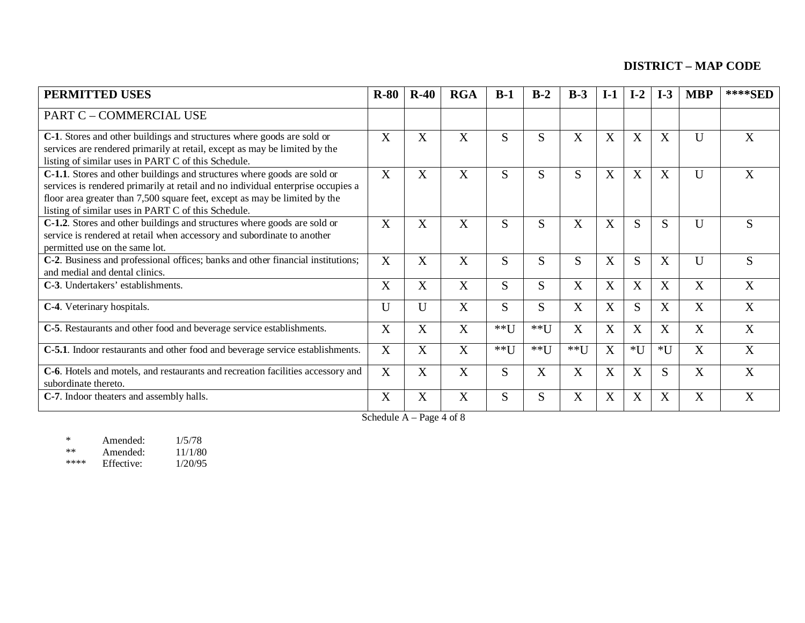| <b>PERMITTED USES</b>                                                                                                                                                                                                                                                                             | $R-80$       | $R-40$       | <b>RGA</b>   | $B-1$  | $B-2$  | $B-3$  | $I-1$ | $I-2$ | $I-3$ | <b>MBP</b> | ****SED |
|---------------------------------------------------------------------------------------------------------------------------------------------------------------------------------------------------------------------------------------------------------------------------------------------------|--------------|--------------|--------------|--------|--------|--------|-------|-------|-------|------------|---------|
| PART C - COMMERCIAL USE                                                                                                                                                                                                                                                                           |              |              |              |        |        |        |       |       |       |            |         |
| C-1. Stores and other buildings and structures where goods are sold or<br>services are rendered primarily at retail, except as may be limited by the<br>listing of similar uses in PART C of this Schedule.                                                                                       | X            | X            | X            | S.     | S      | X      | X     | X     | X     | U          | X       |
| C-1.1. Stores and other buildings and structures where goods are sold or<br>services is rendered primarily at retail and no individual enterprise occupies a<br>floor area greater than 7,500 square feet, except as may be limited by the<br>listing of similar uses in PART C of this Schedule. | X            | X            | X            | S      | S      | S      | X     | X     | X     | U          | X       |
| C-1.2. Stores and other buildings and structures where goods are sold or<br>service is rendered at retail when accessory and subordinate to another<br>permitted use on the same lot.                                                                                                             | X            | X            | X            | S      | S      | X      | X     | S     | S     | U          | S       |
| C-2. Business and professional offices; banks and other financial institutions;<br>and medial and dental clinics.                                                                                                                                                                                 | X            | X            | X            | S      | S      | S      | X     | S     | X     | U          | S       |
| C-3. Undertakers' establishments.                                                                                                                                                                                                                                                                 | X            | X            | X            | S      | S      | X      | X     | X     | X     | X          | X       |
| C-4. Veterinary hospitals.                                                                                                                                                                                                                                                                        | U            | $\mathbf{U}$ | $\mathbf{X}$ | S      | S      | X      | X     | S     | X     | X          | X       |
| C-5. Restaurants and other food and beverage service establishments.                                                                                                                                                                                                                              | X            | X            | X            | **U    | $**$ U | X      | X     | X     | X     | X          | X       |
| C-5.1. Indoor restaurants and other food and beverage service establishments.                                                                                                                                                                                                                     | $\mathbf{X}$ | X            | X            | $**$ U | $*$ *U | $**$ U | X     | $*U$  | $*U$  | X          | X       |
| C-6. Hotels and motels, and restaurants and recreation facilities accessory and<br>subordinate thereto.                                                                                                                                                                                           | X            | X            | X            | S      | X      | X      | X     | X     | S     | X          | X       |
| C-7. Indoor theaters and assembly halls.                                                                                                                                                                                                                                                          | X            | X            | X            | S      | S      | X      | X     | X     | X     | X          | X       |

#### Schedule  $A - Page 4 of 8$

| $\ast$ | Amended:   | 1/5/78  |
|--------|------------|---------|
| $**$   | Amended:   | 11/1/80 |
| ****   | Effective: | 1/20/95 |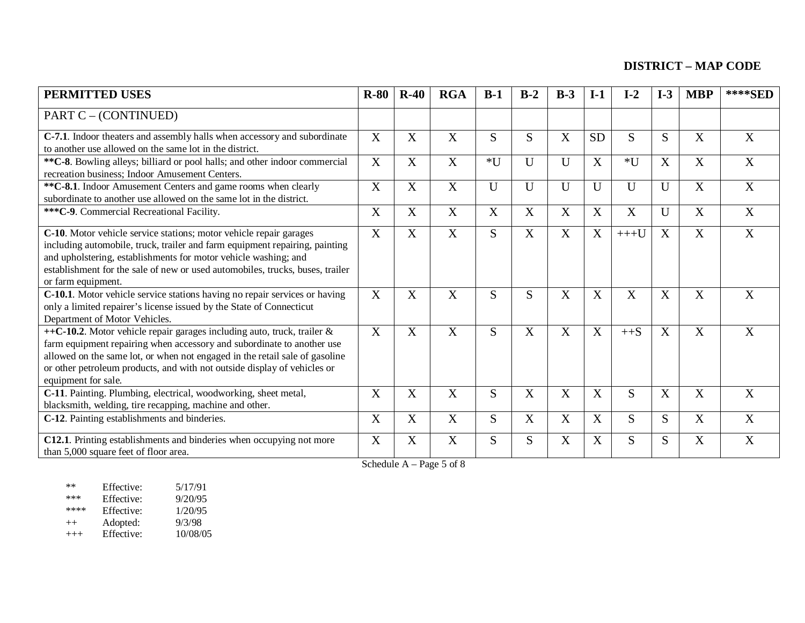| <b>PERMITTED USES</b>                                                                                                                                                                                                                                                                                                               | $R-80$      | $R-40$ | <b>RGA</b> | $B-1$        | $B-2$                     | $B-3$ | $I-1$            | $I-2$        | $I-3$                     | <b>MBP</b> | ****SED        |
|-------------------------------------------------------------------------------------------------------------------------------------------------------------------------------------------------------------------------------------------------------------------------------------------------------------------------------------|-------------|--------|------------|--------------|---------------------------|-------|------------------|--------------|---------------------------|------------|----------------|
| PART C – (CONTINUED)                                                                                                                                                                                                                                                                                                                |             |        |            |              |                           |       |                  |              |                           |            |                |
| C-7.1. Indoor theaters and assembly halls when accessory and subordinate<br>to another use allowed on the same lot in the district.                                                                                                                                                                                                 | X           | X      | X          | S            | S                         | X     | <b>SD</b>        | S            | S.                        | X          | X              |
| ** C-8. Bowling alleys; billiard or pool halls; and other indoor commercial<br>recreation business; Indoor Amusement Centers.                                                                                                                                                                                                       | $\mathbf X$ | X      | X          | $*U$         | U                         | U     | $\boldsymbol{X}$ | $*U$         | $\boldsymbol{\mathrm{X}}$ | X          | $\overline{X}$ |
| ** C-8.1. Indoor Amusement Centers and game rooms when clearly<br>subordinate to another use allowed on the same lot in the district.                                                                                                                                                                                               | X           | X      | X          | $\mathbf{U}$ | U                         | U     | U                | U            | U                         | X          | X              |
| *** C-9. Commercial Recreational Facility.                                                                                                                                                                                                                                                                                          | X           | X      | X          | X            | $\boldsymbol{\mathrm{X}}$ | X     | X                | X            | U                         | X          | X              |
| C-10. Motor vehicle service stations; motor vehicle repair garages<br>including automobile, truck, trailer and farm equipment repairing, painting<br>and upholstering, establishments for motor vehicle washing; and<br>establishment for the sale of new or used automobiles, trucks, buses, trailer<br>or farm equipment.         | X           | X      | X          | S            | X                         | X     | X                | $+++U$       | X                         | X          | X              |
| C-10.1. Motor vehicle service stations having no repair services or having<br>only a limited repairer's license issued by the State of Connecticut<br>Department of Motor Vehicles.                                                                                                                                                 | $\mathbf X$ | X      | X          | S            | S                         | X     | X                | X            | X                         | X          | X              |
| ++C-10.2. Motor vehicle repair garages including auto, truck, trailer &<br>farm equipment repairing when accessory and subordinate to another use<br>allowed on the same lot, or when not engaged in the retail sale of gasoline<br>or other petroleum products, and with not outside display of vehicles or<br>equipment for sale. | X           | X      | X          | S            | $\boldsymbol{\mathrm{X}}$ | X     | X                | $++S$        | X                         | X          | X              |
| C-11. Painting. Plumbing, electrical, woodworking, sheet metal,<br>blacksmith, welding, tire recapping, machine and other.                                                                                                                                                                                                          | X           | X      | X          | S            | X                         | X     | X                | S.           | X                         | X          | X              |
| C-12. Painting establishments and binderies.                                                                                                                                                                                                                                                                                        | X           | X      | X          | S            | $\mathbf X$               | X     | X                | <sub>S</sub> | S.                        | X          | X              |
| C12.1. Printing establishments and binderies when occupying not more<br>than 5,000 square feet of floor area.                                                                                                                                                                                                                       | X           | X      | X          | S            | S                         | X     | X                | S            | S.                        | X          | X              |

Schedule A – Page 5 of 8

| $**$     | Effective: | 5/17/91  |
|----------|------------|----------|
| $***$    | Effective: | 9/20/95  |
| ****     | Effective: | 1/20/95  |
| $^{++}$  | Adopted:   | 9/3/98   |
| $^{+++}$ | Effective: | 10/08/05 |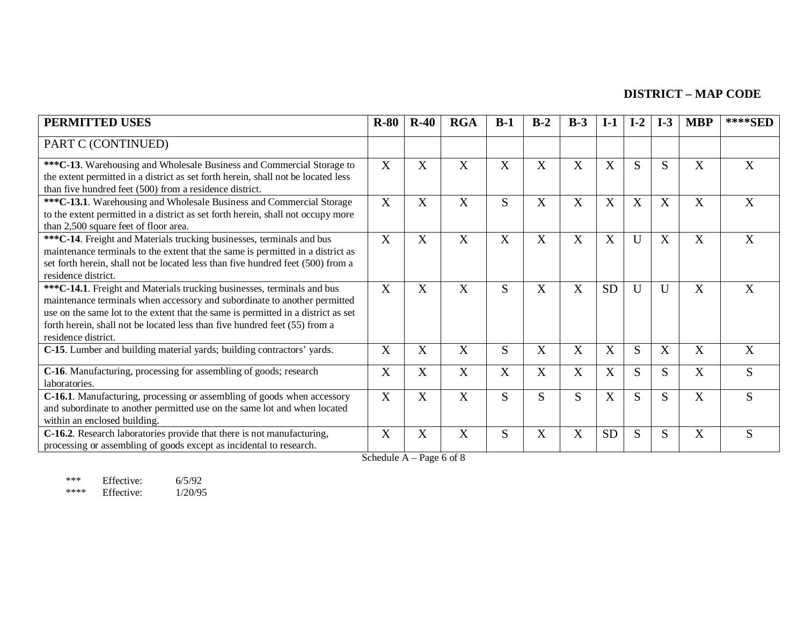| <b>PERMITTED USES</b>                                                                                                                                                                                                                                                                                                                           | $R-80$       | $R-40$ | <b>RGA</b> | $B-1$                 | $B-2$ | $B-3$ | $I-1$     | $I-2$       | $I-3$ | <b>MBP</b> | ****SED |
|-------------------------------------------------------------------------------------------------------------------------------------------------------------------------------------------------------------------------------------------------------------------------------------------------------------------------------------------------|--------------|--------|------------|-----------------------|-------|-------|-----------|-------------|-------|------------|---------|
| PART C (CONTINUED)                                                                                                                                                                                                                                                                                                                              |              |        |            |                       |       |       |           |             |       |            |         |
| *** C-13. Warehousing and Wholesale Business and Commercial Storage to<br>the extent permitted in a district as set forth herein, shall not be located less<br>than five hundred feet (500) from a residence district.                                                                                                                          | X            | X      | X          | X                     | X     | X     | X         | S           | S     | X          | X       |
| ***C-13.1. Warehousing and Wholesale Business and Commercial Storage<br>to the extent permitted in a district as set forth herein, shall not occupy more<br>than 2,500 square feet of floor area.                                                                                                                                               | X            | X      | X          | S                     | X     | X     | X         | X           | X     | X          | X       |
| *** C-14. Freight and Materials trucking businesses, terminals and bus<br>maintenance terminals to the extent that the same is permitted in a district as<br>set forth herein, shall not be located less than five hundred feet (500) from a<br>residence district.                                                                             | X            | X      | X          | $\overline{\text{X}}$ | X     | X     | X         | $\mathbf U$ | X     | X          | X       |
| *** C-14.1. Freight and Materials trucking businesses, terminals and bus<br>maintenance terminals when accessory and subordinate to another permitted<br>use on the same lot to the extent that the same is permitted in a district as set<br>forth herein, shall not be located less than five hundred feet (55) from a<br>residence district. | X            | X      | X          | S                     | X     | X     | <b>SD</b> | U           | U     | X          | X       |
| C-15. Lumber and building material yards; building contractors' yards.                                                                                                                                                                                                                                                                          | X            | X      | X          | S                     | X     | X     | X         | S           | X     | X          | X       |
| C-16. Manufacturing, processing for assembling of goods; research<br>laboratories.                                                                                                                                                                                                                                                              | X            | X      | X          | $\overline{X}$        | X     | X     | X         | S           | S     | X          | S       |
| C-16.1. Manufacturing, processing or assembling of goods when accessory<br>and subordinate to another permitted use on the same lot and when located<br>within an enclosed building.                                                                                                                                                            | $\mathbf{X}$ | X      | X          | S                     | S     | S     | X         | S           | S     | X          | S       |
| C-16.2. Research laboratories provide that there is not manufacturing,<br>processing or assembling of goods except as incidental to research.                                                                                                                                                                                                   | X            | X      | X          | S                     | X     | X     | <b>SD</b> | S           | S     | X          | S       |

Schedule  $A - Page 6 of 8$ 

\*\*\* Effective: 6/5/92<br>\*\*\*\* Effective: 1/20/95 Effective: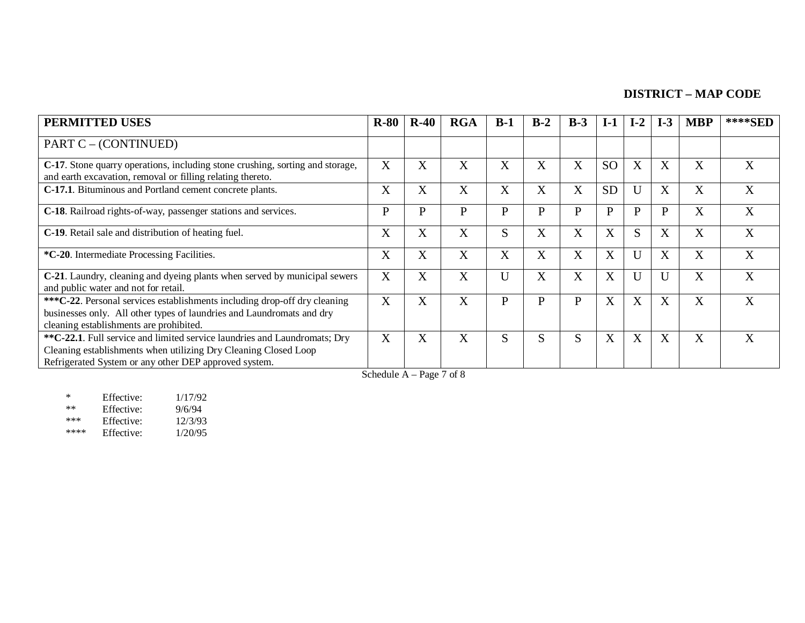| <b>PERMITTED USES</b>                                                                                                                                                                                 | $R-80$       | $R-40$ | <b>RGA</b> | $B-1$       | $B-2$        | $B-3$            | $I-1$         | $I-2$ | $I-3$        | <b>MBP</b> | ****SED |
|-------------------------------------------------------------------------------------------------------------------------------------------------------------------------------------------------------|--------------|--------|------------|-------------|--------------|------------------|---------------|-------|--------------|------------|---------|
| PART C – (CONTINUED)                                                                                                                                                                                  |              |        |            |             |              |                  |               |       |              |            |         |
| C-17. Stone quarry operations, including stone crushing, sorting and storage,<br>and earth excavation, removal or filling relating thereto.                                                           | X            | X      | X          | X           | X            | X                | <sub>SO</sub> | X     | X            | X          | X       |
| C-17.1. Bituminous and Portland cement concrete plants.                                                                                                                                               | X            | X      | X          | X           | X            | X                | <b>SD</b>     | U     | X            | X          | X       |
| C-18. Railroad rights-of-way, passenger stations and services.                                                                                                                                        | P            | P      | P          | P           | P            | $\mathbf{P}$     | P             | P     | $\mathbf{P}$ | X          | X       |
| C-19. Retail sale and distribution of heating fuel.                                                                                                                                                   | X            | X      | X          | $\sim$<br>S | X            | $\boldsymbol{X}$ | X             | S     | X            | X          | X       |
| *C-20. Intermediate Processing Facilities.                                                                                                                                                            | X            | X      | X          | X           | X            | X                | X             | U     | X            | X          | X       |
| C-21. Laundry, cleaning and dyeing plants when served by municipal sewers<br>and public water and not for retail.                                                                                     | X            | X      | X          | Ū           | X            | X                | X             | U     | U            | X          | X       |
| ***C-22. Personal services establishments including drop-off dry cleaning<br>businesses only. All other types of laundries and Laundromats and dry<br>cleaning establishments are prohibited.         | $\mathbf{X}$ | X      | X          | P           | $\mathbf{P}$ | $\mathbf{P}$     | X             | X     | $\mathbf{X}$ | X          | X       |
| **C-22.1. Full service and limited service laundries and Laundromats; Dry<br>Cleaning establishments when utilizing Dry Cleaning Closed Loop<br>Refrigerated System or any other DEP approved system. | X<br>------  | X      | X          | S           | S            | S                | X             | X     | X            | X          | X       |

Schedule A – Page 7 of 8

\* Effective: 1/17/92<br>
\*\* Effective: 9/6/94<br>
\*\*\* Effective: 12/3/93 \*\* Effective:<br>\*\*\* Fffective: \*\*\* Effective: 12/3/93<br>\*\*\*\* Effective: 1/20/95 Effective: